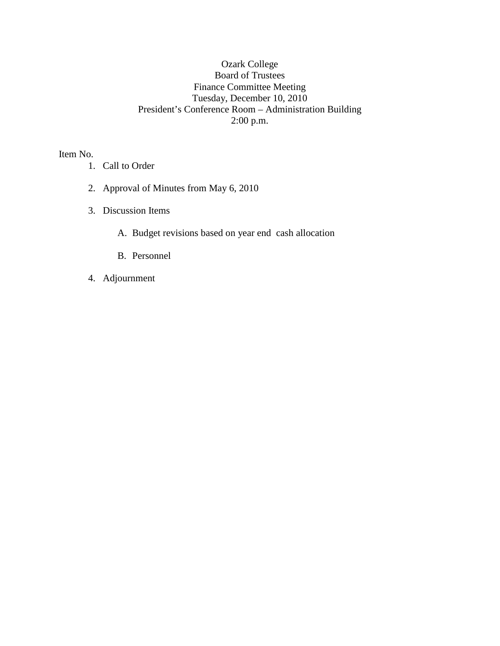## Ozark College Board of Trustees Finance Committee Meeting Tuesday, December 10, 2010 President's Conference Room – Administration Building 2:00 p.m.

Item No.

- 1. Call to Order
- 2. Approval of Minutes from May 6, 2010
- 3. Discussion Items
	- A. Budget revisions based on year end cash allocation
	- B. Personnel
- 4. Adjournment